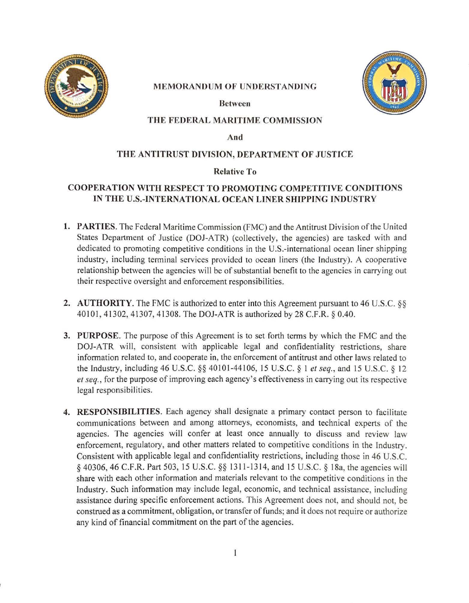

### **MEMORANDUM OF UNDERSTANDING**

**Between** 



## **THE FEDERAL MARITIME COMMISSION**

**And** 

### **THE ANTITRUST DIVISION, DEPARTMENT OF JUSTICE**

### **Relative To**

# **COOPERATION WITH RESPECT TO PROMOTING COMPETITIVE CONDITIONS IN THE U.S.-INTERNATIONAL OCEAN LINER SHIPPING INDUSTRY**

- **1. PARTIES.** The Federal Maritime Commission (FMC) and the Antitrust Division of the United States Department of Justice (DOJ-ATR) (collectively, the agencies) are tasked with and dedicated to promoting competitive conditions in the U.S.-international ocean liner shipping industry, including terminal services provided to ocean liners (the Industry). A cooperative relationship between the agencies will be of substantial benefit to the agencies in carrying out their respective oversight and enforcement responsibilities.
- **2. AUTHORITY.** The FMC is authorized to enter into this Agreement pursuant to 46 U.S.C. §§ 40101 , 41302, 41307, 41308. The DOJ-ATR is authorized by 28 C.F.R. § 0.40.
- **3. PURPOSE.** The purpose of this Agreement is to set forth terms by which the FMC and the DOJ-ATR will, consistent with applicable legal and confidentiality restrictions, share information related to, and cooperate in, the enforcement of antitrust and other laws related to the Industry, including 46 U.S.C. §§ 40101 -44 106, 15 U.S.C. § I *et seq.,* and 15 U.S.C. § 12 *et seq.,* for the purpose of improving each agency's effectiveness in carrying out its respective legal responsibilities.
- **4. RESPONSIBILITIES.** Each agency shall designate a primary contact person to facilitate communications between and among attorneys, economists, and technical experts of the agencies. The agencies will confer at least once annually to discuss and review law enforcement, regulatory, and other matters related to competitive conditions in the Industry. Consistent with applicable legal and confidentiality restrictions, including those in 46 U.S.C. *§* 40306, 46 C.F.R. Part 503, 15 U.S.C. §§ 1311-1314, and 15 U.S.C. *§* 18a, the agencies will share with each other information and materials relevant to the competitive conditions in the Industry. Such information may include legal, economic, and technical assistance, including assistance during specific enforcement actions. This Agreement does not, and should not, be construed as a commitment, obligation, or transfer of funds; and it does not require or authorize any kind of financial commitment on the part of the agencies.